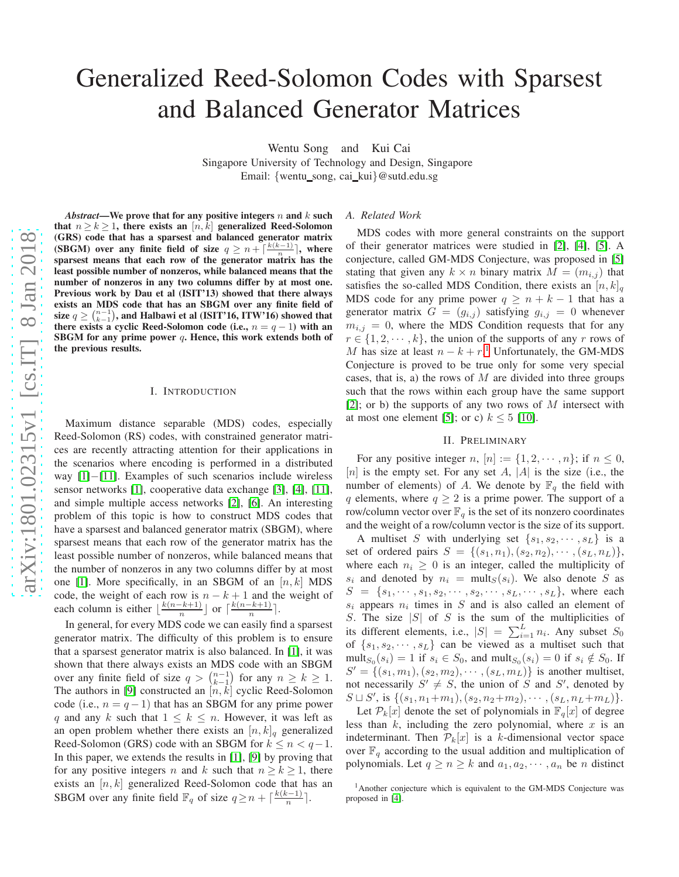# Generalized Reed-Solomon Codes with Sparsest and Balanced Generator Matrices

Wentu Song and Kui Cai

Singapore University of Technology and Design, Singapore Email: {wentu\_song, cai\_kui}@sutd.edu.sg

 $\vec{A}$ *bstract*—We prove that for any positive integers n and k such that  $n \ge k \ge 1$ , there exists an  $[n, k]$  generalized Reed-Solomon (GRS) code that has a sparsest and balanced generator matrix (SBGM) over any finite field of size  $q \geq n + \lceil \frac{k(k-1)}{n} \rceil$ , where sparsest means that each row of the generator matrix has the least possible number of nonzeros, while balanced means that the number of nonzeros in any two columns differ by at most one. Previous work by Dau et al (ISIT'13) showed that there always exists an MDS code that has an SBGM over any finite field of size  $q \geq {n-1 \choose k-1}$ , and Halbawi et al (ISIT'16, ITW'16) showed that there exists a cyclic Reed-Solomon code (i.e.,  $n = q - 1$ ) with an SBGM for any prime power q. Hence, this work extends both of the previous results.

#### I. INTRODUCTION

Maximum distance separable (MDS) codes, especially Reed-Solomon (RS) codes, with constrained generator matri ces are recently attracting attention for their applications in the scenarios where encoding is performed in a distributed way [\[1\]](#page-8-0)-[\[11\]](#page-8-1). Examples of such scenarios include wireless sensor networks [\[1\]](#page-8-0), cooperative data exchange [\[3\]](#page-8-2), [\[4\]](#page-8-3), [\[11\]](#page-8-1), and simple multiple access networks [\[2\]](#page-8-4), [\[6\]](#page-8-5). An interestin g problem of this topic is how to construct MDS codes that have a sparsest and balanced generator matrix (SBGM), where sparsest means that each row of the generator matrix has the least possible number of nonzeros, while balanced means tha t the number of nonzeros in any two columns differ by at most one [\[1\]](#page-8-0). More specifically, in an SBGM of an  $[n, k]$  MDS code, the weight of each row is  $n - k + 1$  and the weight of each column is either  $\lfloor \frac{k(n-k+1)}{n} \rfloor$  or  $\lceil \frac{k(n-k+1)}{n} \rceil$ .

In general, for every MDS code we can easily find a sparsest generator matrix. The difficulty of this problem is to ensure that a sparsest generator matrix is also balanced. In [\[1\]](#page-8-0), it was shown that there always exists an MDS code with an SBGM over any finite field of size  $q > \binom{n-1}{k-1}$  for any  $n \ge k \ge 1$ . The authors in [\[9\]](#page-8-6) constructed an  $[n, k]$  cyclic Reed-Solomon code (i.e.,  $n = q - 1$ ) that has an SBGM for any prime power q and any k such that  $1 \leq k \leq n$ . However, it was left as an open problem whether there exists an  $[n, k]_q$  generalized Reed-Solomon (GRS) code with an SBGM for  $k \leq n < q-1$ . In this paper, we extends the results in [\[1\]](#page-8-0), [\[9\]](#page-8-6) by proving that for any positive integers n and k such that  $n \ge k \ge 1$ , there exists an  $[n, k]$  generalized Reed-Solomon code that has an SBGM over any finite field  $\mathbb{F}_q$  of size  $q \geq n + \lceil \frac{k(k-1)}{n} \rceil$  $rac{n-1)}{n}$ .

#### *A. Related Work*

MDS codes with more general constraints on the support of their generator matrices were studied in [\[2\]](#page-8-4), [\[4\]](#page-8-3), [\[5\]](#page-8-7). A conjecture, called GM-MDS Conjecture, was proposed in [\[5\]](#page-8-7) stating that given any  $k \times n$  binary matrix  $M = (m_{i,j})$  that satisfies the so-called MDS Condition, there exists an  $[n, k]_q$ MDS code for any prime power  $q \geq n + k - 1$  that has a generator matrix  $G = (g_{i,j})$  satisfying  $g_{i,j} = 0$  whenever  $m_{i,j} = 0$ , where the MDS Condition requests that for any  $r \in \{1, 2, \dots, k\}$ , the union of the supports of any r rows of M has size at least  $n - k + r<sup>1</sup>$  $n - k + r<sup>1</sup>$  $n - k + r<sup>1</sup>$ . Unfortunately, the GM-MDS Conjecture is proved to be true only for some very special cases, that is, a) the rows of  $M$  are divided into three groups such that the rows within each group have the same support [\[2\]](#page-8-4); or b) the supports of any two rows of  $M$  intersect with at most one element [\[5\]](#page-8-7); or c)  $k \leq 5$  [\[10\]](#page-8-8).

#### II. PRELIMINARY

For any positive integer n,  $[n] := \{1, 2, \dots, n\}$ ; if  $n \leq 0$ , [n] is the empty set. For any set A,  $|A|$  is the size (i.e., the number of elements) of A. We denote by  $\mathbb{F}_q$  the field with q elements, where  $q \ge 2$  is a prime power. The support of a row/column vector over  $\mathbb{F}_q$  is the set of its nonzero coordinates and the weight of a row/column vector is the size of its support.

A multiset S with underlying set  $\{s_1, s_2, \dots, s_L\}$  is a set of ordered pairs  $S = \{(s_1, n_1), (s_2, n_2), \cdots, (s_L, n_L)\},\$ where each  $n_i \geq 0$  is an integer, called the multiplicity of  $s_i$  and denoted by  $n_i = \text{mult}_S(s_i)$ . We also denote S as  $S = \{s_1, \dots, s_1, s_2, \dots, s_2, \dots, s_L, \dots, s_L\}$ , where each  $s_i$  appears  $n_i$  times in S and is also called an element of S. The size  $|S|$  of S is the sum of the multiplicities of its different elements, i.e.,  $|S| = \sum_{i=1}^{L} n_i$ . Any subset  $S_0$ of  $\{s_1, s_2, \dots, s_L\}$  can be viewed as a multiset such that mult<sub> $S_0$ </sub> $(s_i) = 1$  if  $s_i \in S_0$ , and mult<sub> $S_0$ </sub> $(s_i) = 0$  if  $s_i \notin S_0$ . If  $S' = \{(s_1, m_1), (s_2, m_2), \cdots, (s_L, m_L)\}\$ is another multiset, not necessarily  $S' \neq S$ , the union of S and S', denoted by  $S \sqcup S'$ , is  $\{(s_1, n_1+m_1), (s_2, n_2+m_2), \cdots, (s_L, n_L+m_L)\}.$ 

Let  $\mathcal{P}_k[x]$  denote the set of polynomials in  $\mathbb{F}_q[x]$  of degree less than  $k$ , including the zero polynomial, where  $x$  is an indeterminant. Then  $\mathcal{P}_k[x]$  is a k-dimensional vector space over  $\mathbb{F}_q$  according to the usual addition and multiplication of polynomials. Let  $q \ge n \ge k$  and  $a_1, a_2, \dots, a_n$  be *n* distinct

<span id="page-0-0"></span><sup>&</sup>lt;sup>1</sup> Another conjecture which is equivalent to the GM-MDS Conjecture was proposed in [\[4\]](#page-8-3).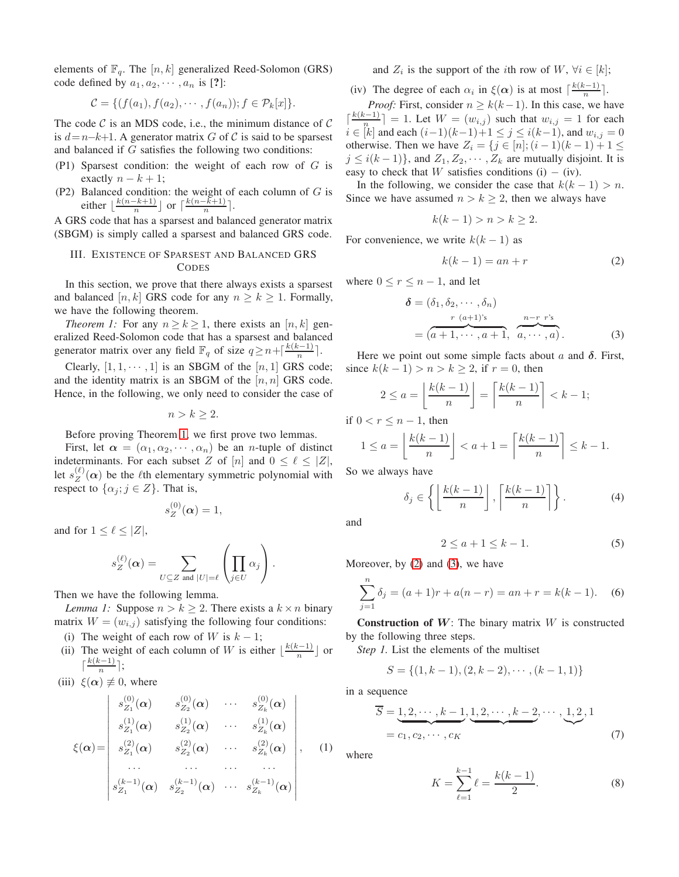elements of  $\mathbb{F}_q$ . The  $[n, k]$  generalized Reed-Solomon (GRS) code defined by  $a_1, a_2, \cdots, a_n$  is [?]:

$$
\mathcal{C} = \{ (f(a_1), f(a_2), \cdots, f(a_n)); f \in \mathcal{P}_k[x] \}.
$$

The code  $\mathcal C$  is an MDS code, i.e., the minimum distance of  $\mathcal C$ is  $d=n-k+1$ . A generator matrix G of C is said to be sparsest and balanced if G satisfies the following two conditions:

- (P1) Sparsest condition: the weight of each row of G is exactly  $n - k + 1$ ;
- (P2) Balanced condition: the weight of each column of  $G$  is either  $\lfloor \frac{k(n-k+1)}{n} \rfloor$  $\frac{-k+1}{n}$  or  $\lceil \frac{k(n-k+1)}{n} \rceil$  $\frac{-\kappa+1)}{n}$ .

A GRS code that has a sparsest and balanced generator matrix (SBGM) is simply called a sparsest and balanced GRS code.

## III. EXISTENCE OF SPARSEST AND BALANCED GRS **CODES**

In this section, we prove that there always exists a sparsest and balanced [n, k] GRS code for any  $n \ge k \ge 1$ . Formally, we have the following theorem.

*Theorem 1:* For any  $n \ge k \ge 1$ , there exists an [n, k] generalized Reed-Solomon code that has a sparsest and balanced generator matrix over any field  $\mathbb{F}_q$  of size  $q \ge n + \lceil \frac{k(k-1)}{n} \rceil$  $\frac{n^{(n-1)}}{n}$ .

Clearly,  $[1, 1, \cdots, 1]$  is an SBGM of the  $[n, 1]$  GRS code; and the identity matrix is an SBGM of the  $[n, n]$  GRS code. Hence, in the following, we only need to consider the case of

<span id="page-1-0"></span> $n > k \geq 2$ .

Before proving Theorem [1,](#page-1-0) we first prove two lemmas.

First, let  $\alpha = (\alpha_1, \alpha_2, \cdots, \alpha_n)$  be an *n*-tuple of distinct indeterminants. For each subset Z of  $[n]$  and  $0 \leq \ell \leq |Z|$ , let  $s_Z^{(\ell)}(\alpha)$  be the  $\ell$ th elementary symmetric polynomial with respect to  $\{\alpha_i; j \in Z\}$ . That is,

<span id="page-1-5"></span>
$$
s_Z^{(0)}(\boldsymbol{\alpha})=1,
$$

and for  $1 \leq \ell \leq |Z|$ ,

$$
s_Z^{(\ell)}(\boldsymbol{\alpha}) = \sum_{U \subseteq Z \text{ and } |U| = \ell} \left( \prod_{j \in U} \alpha_j \right).
$$

Then we have the following lemma.

*Lemma 1:* Suppose  $n > k \geq 2$ . There exists a  $k \times n$  binary matrix  $W = (w_{i,j})$  satisfying the following four conditions:

- (i) The weight of each row of W is  $k 1$ ;
- (ii) The weight of each column of W is either  $\lfloor \frac{k(k-1)}{n} \rfloor$  $\frac{n^{(n-1)}}{n}$  or  $\lceil \frac{k(k-1)}{n} \rceil$  $\frac{n^{(n-1)}}{n}$ ;

(iii) 
$$
\xi(\alpha) \neq 0
$$
, where

$$
\xi(\boldsymbol{\alpha}) = \begin{vmatrix} s_{Z_1}^{(0)}(\boldsymbol{\alpha}) & s_{Z_2}^{(0)}(\boldsymbol{\alpha}) & \cdots & s_{Z_k}^{(0)}(\boldsymbol{\alpha}) \\ s_{Z_1}^{(1)}(\boldsymbol{\alpha}) & s_{Z_2}^{(1)}(\boldsymbol{\alpha}) & \cdots & s_{Z_k}^{(1)}(\boldsymbol{\alpha}) \\ s_{Z_1}^{(2)}(\boldsymbol{\alpha}) & s_{Z_2}^{(2)}(\boldsymbol{\alpha}) & \cdots & s_{Z_k}^{(2)}(\boldsymbol{\alpha}) \\ \cdots & \cdots & \cdots & \cdots \\ s_{Z_1}^{(k-1)}(\boldsymbol{\alpha}) & s_{Z_2}^{(k-1)}(\boldsymbol{\alpha}) & \cdots & s_{Z_k}^{(k-1)}(\boldsymbol{\alpha}) \end{vmatrix}, \quad (1)
$$

and  $Z_i$  is the support of the *i*th row of  $W$ ,  $\forall i \in [k]$ ;

(iv) The degree of each  $\alpha_i$  in  $\xi(\alpha)$  is at most  $\lceil \frac{k(k-1)}{n} \rceil$  $\frac{x-1}{n}$ .

*Proof:* First, consider  $n \geq k(k-1)$ . In this case, we have  $\lceil \frac{k(k-1)}{n} \rceil$  $\left[\frac{n-1}{n}\right] = 1$ . Let  $W = (w_{i,j})$  such that  $w_{i,j} = 1$  for each  $i \in [k]$  and each  $(i-1)(k-1)+1 \le j \le i(k-1)$ , and  $w_{i,j} = 0$ otherwise. Then we have  $Z_i = \{j \in [n]; (i-1)(k-1) + 1 \leq j \leq k\}$  $j \leq i(k-1)$ , and  $Z_1, Z_2, \cdots, Z_k$  are mutually disjoint. It is easy to check that W satisfies conditions (i) – (iv).

In the following, we consider the case that  $k(k - 1) > n$ . Since we have assumed  $n > k \geq 2$ , then we always have

$$
k(k-1) > n > k \geq 2.
$$

For convenience, we write  $k(k-1)$  as

<span id="page-1-2"></span><span id="page-1-1"></span>
$$
k(k-1) = an + r \tag{2}
$$

where  $0 \le r \le n - 1$ , and let

$$
\delta = (\delta_1, \delta_2, \cdots, \delta_n)
$$
  
\n
$$
= (a+1, \cdots, a+1, \overbrace{a, \cdots, a}^{n-r} ).
$$
  
\n
$$
(3)
$$

Here we point out some simple facts about a and  $\delta$ . First, since  $k(k-1) > n > k \ge 2$ , if  $r = 0$ , then

$$
2 \le a = \left\lfloor \frac{k(k-1)}{n} \right\rfloor = \left\lceil \frac{k(k-1)}{n} \right\rceil < k-1;
$$

if  $0 < r \leq n-1$ , then

$$
1 \le a = \left\lfloor \frac{k(k-1)}{n} \right\rfloor < a+1 = \left\lceil \frac{k(k-1)}{n} \right\rceil \le k-1.
$$

So we always have

$$
\delta_j \in \left\{ \left\lfloor \frac{k(k-1)}{n} \right\rfloor, \left\lceil \frac{k(k-1)}{n} \right\rceil \right\}.
$$
 (4)

and

<span id="page-1-8"></span><span id="page-1-7"></span><span id="page-1-3"></span>
$$
2 \le a+1 \le k-1. \tag{5}
$$

Moreover, by [\(2\)](#page-1-1) and [\(3\)](#page-1-2), we have

$$
\sum_{j=1}^{n} \delta_j = (a+1)r + a(n-r) = an+r = k(k-1).
$$
 (6)

**Construction of W**: The binary matrix  $W$  is constructed by the following three steps.

*Step 1.* List the elements of the multiset

$$
S = \{(1, k - 1), (2, k - 2), \cdots, (k - 1, 1)\}
$$

in a sequence

$$
\overline{S} = \underbrace{1, 2, \cdots, k-1}_{= c_1, c_2, \cdots, c_K}, \underbrace{1, 2, \cdots, k-2}_{= c_1, c_2, \cdots, c_K}, \dots, \underbrace{1, 2, 1}_{(7)}
$$

<span id="page-1-4"></span>where

<span id="page-1-6"></span>
$$
K = \sum_{\ell=1}^{k-1} \ell = \frac{k(k-1)}{2}.
$$
 (8)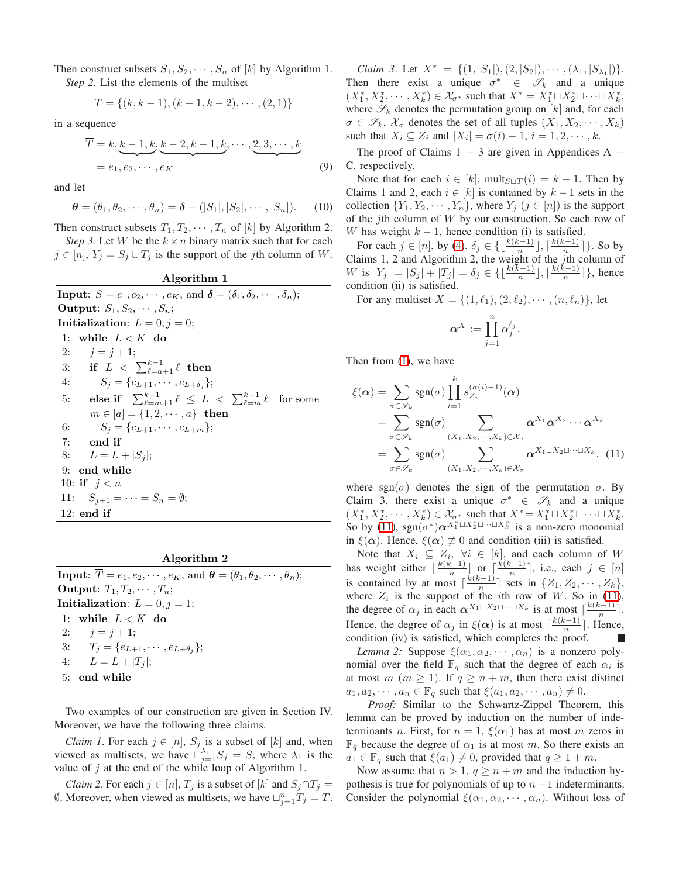Then construct subsets  $S_1, S_2, \dots, S_n$  of [k] by Algorithm 1. *Step 2.* List the elements of the multiset

$$
T = \{(k, k-1), (k-1, k-2), \cdots, (2, 1)\}
$$

in a sequence

$$
\overline{T} = k, \underbrace{k-1, k}_{2}, \underbrace{k-2, k-1, k}_{2}, \cdots, \underbrace{2, 3, \cdots, k}_{2}
$$
\n
$$
= e_1, e_2, \cdots, e_K
$$
\n
$$
(9)
$$

and let

$$
\boldsymbol{\theta} = (\theta_1, \theta_2, \cdots, \theta_n) = \boldsymbol{\delta} - (|S_1|, |S_2|, \cdots, |S_n|). \tag{10}
$$

Then construct subsets  $T_1, T_2, \cdots, T_n$  of [k] by Algorithm 2. *Step 3.* Let W be the  $k \times n$  binary matrix such that for each

 $j \in [n], Y_j = S_j \cup T_j$  is the support of the jth column of W.

Algorithm 1 **Input:**  $\overline{S} = c_1, c_2, \cdots, c_K$ , and  $\delta = (\delta_1, \delta_2, \cdots, \delta_n);$ Output:  $S_1, S_2, \cdots, S_n;$ Initialization:  $L = 0, j = 0;$ 1: while  $L < K$  do 2:  $j = j + 1;$ 3: if L < Pk−<sup>1</sup> <sup>ℓ</sup>=a+1 ℓ then 4:  $S_j = \{c_{L+1}, \cdots, c_{L+\delta_j}\};$ 5: else if  $\sum_{\ell=m+1}^{k-1} \ell \leq L < \sum_{\ell=m}^{k-1} \ell$  for some  $m \in [a] = \{1, 2, \dots, a\}$  then 6:  $S_j = \{c_{L+1}, \cdots, c_{L+m}\};$ 7: end if 8:  $L = L + |S_i|$ ; 9: end while 10: **if**  $j < n$ 11:  $S_{j+1} = \cdots = S_n = \emptyset;$ 12: end if

# Algorithm 2

**Input:**  $\overline{T} = e_1, e_2, \cdots, e_K$ , and  $\boldsymbol{\theta} = (\theta_1, \theta_2, \cdots, \theta_n);$ Output:  $T_1, T_2, \cdots, T_n$ ; Initialization:  $L = 0, j = 1;$ 1: while  $L < K$  do 2:  $j = j + 1;$ 3:  $T_j = \{e_{L+1}, \cdots, e_{L+\theta_j}\};$ 4:  $L = L + |T_i|$ ; 5: end while

Two examples of our construction are given in Section IV. Moreover, we have the following three claims.

*Claim 1*. For each  $j \in [n]$ ,  $S_j$  is a subset of  $[k]$  and, when viewed as multisets, we have  $\bigcup_{j=1}^{\lambda_1} S_j = S$ , where  $\lambda_1$  is the value of  $j$  at the end of the while loop of Algorithm 1.

*Claim 2*. For each  $j \in [n]$ ,  $T_j$  is a subset of  $[k]$  and  $S_j \cap T_j =$  $\emptyset$ . Moreover, when viewed as multisets, we have  $\sqcup_{j=1}^n T_j = T$ .

*Claim 3*. Let  $X^* = \{(1, |S_1|), (2, |S_2|), \cdots, (\lambda_1, |S_{\lambda_1}|)\}.$ Then there exist a unique  $\sigma^* \in \mathscr{S}_k$  and a unique  $(X_1^*, X_2^*, \cdots, X_k^*) \in \mathcal{X}_{\sigma^*}$  such that  $X^* = X_1^* \sqcup X_2^* \sqcup \cdots \sqcup X_k^*$ , where  $\mathscr{S}_k$  denotes the permutation group on  $[k]$  and, for each  $\sigma \in \mathscr{S}_k$ ,  $\mathcal{X}_{\sigma}$  denotes the set of all tuples  $(X_1, X_2, \cdots, X_k)$ such that  $X_i \subseteq Z_i$  and  $|X_i| = \sigma(i) - 1$ ,  $i = 1, 2, \dots, k$ .

<span id="page-2-3"></span>The proof of Claims  $1 - 3$  are given in Appendices A  $-$ C, respectively.

<span id="page-2-2"></span>Note that for each  $i \in [k]$ , mult<sub>S $\sqcup T(i) = k - 1$ . Then by</sub> Claims 1 and 2, each  $i \in [k]$  is contained by  $k-1$  sets in the collection  $\{Y_1, Y_2, \dots, Y_n\}$ , where  $Y_j$   $(j \in [n])$  is the support of the jth column of  $W$  by our construction. So each row of W has weight  $k - 1$ , hence condition (i) is satisfied.

For each  $j \in [n]$ , by [\(4\)](#page-1-3),  $\delta_j \in \{\lfloor \frac{k(k-1)}{n} \rfloor, \lceil \frac{k(k-1)}{n} \rfloor\}$  $\left\{\frac{n-1}{n}\right\}$ . So by Claims 1, 2 and Algorithm 2, the weight of the  $j$ th column of W is  $|Y_j| = |S_j| + |T_j| = \delta_j \in \{ \lfloor \frac{k(k-1)}{n} \rfloor, \lceil \frac{k(k-1)}{n} \rceil \}$  $\frac{n^{(n-1)}}{n}$ ], hence condition (ii) is satisfied.

For any multiset  $X = \{(1, \ell_1), (2, \ell_2), \cdots, (n, \ell_n)\}\,$  let

<span id="page-2-0"></span>
$$
\pmb{\alpha}^X := \prod_{j=1}^n \alpha_j^{\ell_j}.
$$

Then from [\(1\)](#page-1-4), we have

$$
\xi(\alpha) = \sum_{\sigma \in \mathscr{S}_k} \text{sgn}(\sigma) \prod_{i=1}^k s_{Z_i}^{(\sigma(i)-1)}(\alpha)
$$
  
\n
$$
= \sum_{\sigma \in \mathscr{S}_k} \text{sgn}(\sigma) \sum_{(X_1, X_2, \cdots, X_k) \in \mathcal{X}_{\sigma}} \alpha^{X_1} \alpha^{X_2} \cdots \alpha^{X_k}
$$
  
\n
$$
= \sum_{\sigma \in \mathscr{S}_k} \text{sgn}(\sigma) \sum_{(X_1, X_2, \cdots, X_k) \in \mathcal{X}_{\sigma}} \alpha^{X_1 \sqcup X_2 \sqcup \cdots \sqcup X_k} . (11)
$$

where sgn( $\sigma$ ) denotes the sign of the permutation  $\sigma$ . By Claim 3, there exist a unique  $\sigma^* \in \mathscr{S}_k$  and a unique  $(X_1^*, X_2^*, \cdots, X_k^*) \in \mathcal{X}_{\sigma^*}$  such that  $X^* = X_1^* \sqcup X_2^* \sqcup \cdots \sqcup X_k^*$ . So by [\(11\)](#page-2-0),  $sgn(\sigma^*)\alpha^{X_1^* \sqcup X_2^* \sqcup \cdots \sqcup X_k^*}$  is a non-zero monomial in  $\xi(\alpha)$ . Hence,  $\xi(\alpha) \neq 0$  and condition (iii) is satisfied.

Note that  $X_i \subseteq Z_i$ ,  $\forall i \in [k]$ , and each column of W has weight either  $\lfloor \frac{k(k-1)}{n} \rfloor$  $\frac{n^{k-1}}{n}$  or  $\left[\frac{k(k-1)}{n}\right]$  $\frac{n^{(i-1)}}{n}$ , i.e., each  $j \in [n]$ is contained by at most  $\lceil \frac{k(k-1)}{n} \rceil$  $\frac{n^{(n-1)}}{n}$  sets in  $\{Z_1, Z_2, \cdots, Z_k\},\$ where  $Z_i$  is the support of the *i*th row of W. So in [\(11\)](#page-2-0), the degree of  $\alpha_j$  in each  $\alpha^{X_1 \sqcup X_2 \sqcup \cdots \sqcup X_k}$  is at most  $\lceil \frac{k(k-1)}{n} \rceil$  $\frac{n^{(n-1)}}{n}$ . Hence, the degree of  $\alpha_j$  in  $\xi(\alpha)$  is at most  $\lceil \frac{k(k-1)}{n} \rceil$  $\frac{n^{(n-1)}}{n}$ . Hence, condition (iv) is satisfied, which completes the proof. T.

<span id="page-2-1"></span>*Lemma 2:* Suppose  $\xi(\alpha_1, \alpha_2, \cdots, \alpha_n)$  is a nonzero polynomial over the field  $\mathbb{F}_q$  such that the degree of each  $\alpha_i$  is at most  $m (m \ge 1)$ . If  $q \ge n+m$ , then there exist distinct  $a_1, a_2, \dots, a_n \in \mathbb{F}_q$  such that  $\xi(a_1, a_2, \dots, a_n) \neq 0$ .

*Proof:* Similar to the Schwartz-Zippel Theorem, this lemma can be proved by induction on the number of indeterminants n. First, for  $n = 1$ ,  $\xi(\alpha_1)$  has at most m zeros in  $\mathbb{F}_q$  because the degree of  $\alpha_1$  is at most m. So there exists an  $a_1 \in \mathbb{F}_q$  such that  $\xi(a_1) \neq 0$ , provided that  $q \geq 1 + m$ .

Now assume that  $n > 1$ ,  $q \ge n+m$  and the induction hypothesis is true for polynomials of up to  $n-1$  indeterminants. Consider the polynomial  $\xi(\alpha_1, \alpha_2, \cdots, \alpha_n)$ . Without loss of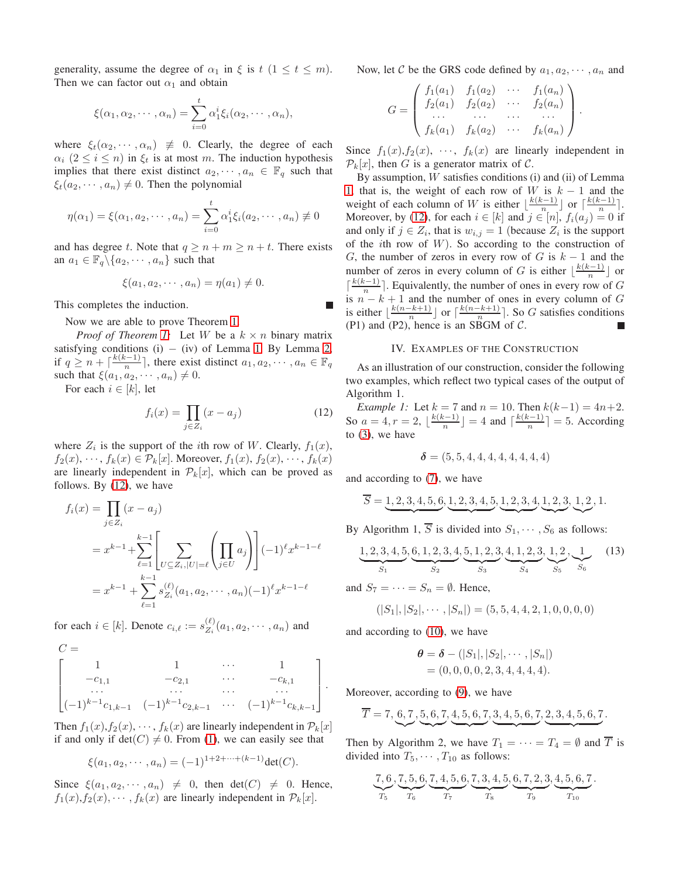generality, assume the degree of  $\alpha_1$  in  $\xi$  is  $t (1 \le t \le m)$ . Then we can factor out  $\alpha_1$  and obtain

$$
\xi(\alpha_1, \alpha_2, \cdots, \alpha_n) = \sum_{i=0}^t \alpha_1^i \xi_i(\alpha_2, \cdots, \alpha_n),
$$

where  $\xi_t(\alpha_2, \dots, \alpha_n) \neq 0$ . Clearly, the degree of each  $\alpha_i$   $(2 \leq i \leq n)$  in  $\xi_t$  is at most m. The induction hypothesis implies that there exist distinct  $a_2, \dots, a_n \in \mathbb{F}_q$  such that  $\xi_t(a_2, \dots, a_n) \neq 0$ . Then the polynomial

$$
\eta(\alpha_1) = \xi(\alpha_1, a_2, \cdots, a_n) = \sum_{i=0}^t \alpha_1^i \xi_i(a_2, \cdots, a_n) \neq 0
$$

and has degree t. Note that  $q \ge n + m \ge n + t$ . There exists an  $a_1 \in \mathbb{F}_q \backslash \{a_2, \cdots, a_n\}$  such that

$$
\xi(a_1, a_2, \cdots, a_n) = \eta(a_1) \neq 0.
$$

This completes the induction.

Now we are able to prove Theorem [1.](#page-1-0)

*Proof of Theorem [1:](#page-1-0)* Let W be a  $k \times n$  binary matrix satisfying conditions (i)  $-$  (iv) of Lemma [1.](#page-1-5) By Lemma [2,](#page-2-1) if  $q \geq n + \lceil \frac{k(k-1)}{n} \rceil$  $\frac{n^{i-1}}{n}$ , there exist distinct  $a_1, a_2, \cdots, a_n \in \mathbb{F}_q$ such that  $\xi(a_1, a_2, \dots, a_n) \neq 0$ .

For each  $i \in [k]$ , let

 $C =$ 

$$
f_i(x) = \prod_{j \in Z_i} (x - a_j) \tag{12}
$$

where  $Z_i$  is the support of the *i*th row of W. Clearly,  $f_1(x)$ ,  $f_2(x), \dots, f_k(x) \in \mathcal{P}_k[x]$ . Moreover,  $f_1(x), f_2(x), \dots, f_k(x)$ are linearly independent in  $\mathcal{P}_k[x]$ , which can be proved as follows. By [\(12\)](#page-3-0), we have

$$
f_i(x) = \prod_{j \in Z_i} (x - a_j)
$$
  
=  $x^{k-1} + \sum_{\ell=1}^{k-1} \left[ \sum_{U \subseteq Z_i, |U| = \ell} \left( \prod_{j \in U} a_j \right) \right] (-1)^{\ell} x^{k-1-\ell}$   
=  $x^{k-1} + \sum_{\ell=1}^{k-1} s_{Z_i}^{(\ell)}(a_1, a_2, \dots, a_n) (-1)^{\ell} x^{k-1-\ell}$ 

for each  $i \in [k]$ . Denote  $c_{i,\ell} := s_{Z_i}^{(\ell)}$  $\sum_{\substack{k=1 \ n \neq n}}^{k} (a_1, a_2, \cdots, a_n)$  and

$$
\begin{bmatrix} 1 & 1 & \cdots & 1 \\ -c_{1,1} & -c_{2,1} & \cdots & -c_{k,1} \\ \cdots & \cdots & \cdots & \cdots \\ (-1)^{k-1}c_{1,k-1} & (-1)^{k-1}c_{2,k-1} & \cdots & (-1)^{k-1}c_{k,k-1} \end{bmatrix}
$$

Then  $f_1(x), f_2(x), \dots, f_k(x)$  are linearly independent in  $\mathcal{P}_k[x]$ if and only if  $det(C) \neq 0$ . From [\(1\)](#page-1-4), we can easily see that

$$
\xi(a_1, a_2, \cdots, a_n) = (-1)^{1+2+\cdots+(k-1)} \det(C).
$$

Since  $\xi(a_1, a_2, \dots, a_n) \neq 0$ , then det(C)  $\neq 0$ . Hence,  $f_1(x), f_2(x), \cdots, f_k(x)$  are linearly independent in  $\mathcal{P}_k[x]$ .

Now, let C be the GRS code defined by  $a_1, a_2, \dots, a_n$  and

$$
G = \begin{pmatrix} f_1(a_1) & f_1(a_2) & \cdots & f_1(a_n) \\ f_2(a_1) & f_2(a_2) & \cdots & f_2(a_n) \\ \cdots & \cdots & \cdots & \cdots \\ f_k(a_1) & f_k(a_2) & \cdots & f_k(a_n) \end{pmatrix}.
$$

Since  $f_1(x), f_2(x), \cdots, f_k(x)$  are linearly independent in  $\mathcal{P}_k[x]$ , then G is a generator matrix of C.

By assumption,  $W$  satisfies conditions (i) and (ii) of Lemma [1,](#page-1-5) that is, the weight of each row of W is  $k - 1$  and the weight of each column of W is either  $\lfloor \frac{k(k-1)}{n} \rfloor$  $\lfloor \frac{n-1}{n} \rfloor$  or  $\lceil \frac{k(k-1)}{n} \rceil$  $\frac{n-1}{n}$ . Moreover, by [\(12\)](#page-3-0), for each  $i \in [k]$  and  $j \in [n]$ ,  $f_i(a_j) = 0$  if and only if  $j \in Z_i$ , that is  $w_{i,j} = 1$  (because  $Z_i$  is the support of the *i*th row of  $W$ ). So according to the construction of G, the number of zeros in every row of G is  $k - 1$  and the number of zeros in every column of G is either  $\lfloor \frac{k(k-1)}{n} \rfloor$  or  $\lceil \frac{k(k-1)}{n} \rceil$  $\frac{n^{(n-1)}}{n}$ . Equivalently, the number of ones in every row of G is  $n - k + 1$  and the number of ones in every column of G is either  $\lfloor \frac{k(n-k+1)}{n} \rfloor$  $\frac{-k+1}{n}$  or  $\lceil \frac{k(n-k+1)}{n} \rceil$  $\frac{-\kappa+1}{n}$ . So G satisfies conditions (P1) and (P2), hence is an SBGM of  $C$ . п

#### IV. EXAMPLES OF THE CONSTRUCTION

As an illustration of our construction, consider the following two examples, which reflect two typical cases of the output of Algorithm 1.

<span id="page-3-2"></span><span id="page-3-0"></span>*Example 1:* Let  $k = 7$  and  $n = 10$ . Then  $k(k-1) = 4n+2$ . So  $a = 4, r = 2, \lfloor \frac{k(k-1)}{n} \rfloor$  $\left\lfloor \frac{n-1}{n} \right\rfloor = 4$  and  $\left\lceil \frac{k(k-1)}{n} \right\rceil$  $\left\lfloor \frac{n-1}{n} \right\rfloor = 5$ . According to [\(3\)](#page-1-2), we have

<span id="page-3-1"></span>
$$
\delta = (5, 5, 4, 4, 4, 4, 4, 4, 4, 4)
$$

and according to [\(7\)](#page-1-6), we have

$$
\overline{S} = \underbrace{1, 2, 3, 4, 5, 6}, \underbrace{1, 2, 3, 4, 5}, \underbrace{1, 2, 3, 4}, \underbrace{1, 2, 3}, \underbrace{1, 2, 3}, \underbrace{1, 2}, 1.
$$

By Algorithm 1,  $\overline{S}$  is divided into  $S_1, \cdots, S_6$  as follows:

$$
\underbrace{1,2,3,4,5}_{S_1}, \underbrace{6,1,2,3,4}_{S_2}, \underbrace{5,1,2,3}_{S_3}, \underbrace{4,1,2,3}_{S_4}, \underbrace{1,2}_{S_5}, \underbrace{1}_{S_6} \tag{13}
$$

and  $S_7 = \cdots = S_n = \emptyset$ . Hence,

$$
(|S_1|, |S_2|, \cdots, |S_n|) = (5, 5, 4, 4, 2, 1, 0, 0, 0, 0)
$$

and according to [\(10\)](#page-2-2), we have

.

$$
\theta = \delta - (|S_1|, |S_2|, \cdots, |S_n|)
$$
  
= (0, 0, 0, 0, 2, 3, 4, 4, 4, 4).

Moreover, according to [\(9\)](#page-2-3), we have

$$
\overline{T} = 7, 6, 7, 5, 6, 7, 4, 5, 6, 7, 3, 4, 5, 6, 7, 2, 3, 4, 5, 6, 7.
$$

Then by Algorithm 2, we have  $T_1 = \cdots = T_4 = \emptyset$  and  $\overline{T}$  is divided into  $T_5, \cdots, T_{10}$  as follows:

$$
\frac{7,6}{T_5}, \frac{7,5,6}{T_6}, \frac{7,4,5,6}{T_7}, \frac{7,3,4,5}{T_8}, \frac{6,7,2,3}{T_9}, \frac{4,5,6,7}{T_{10}}.
$$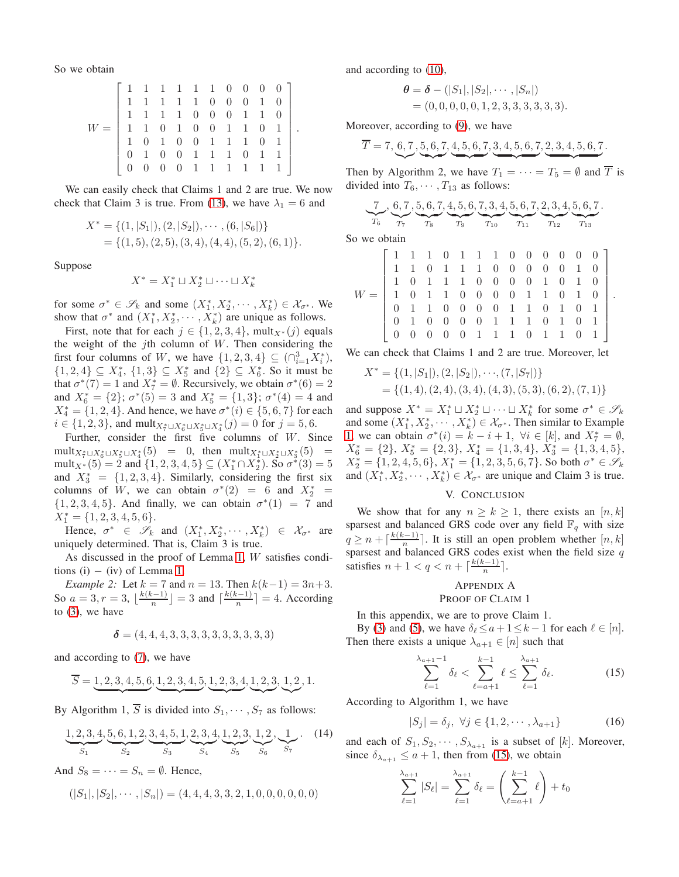So we obtain

|  |  |  |  |  | $\left[ \begin{array}{cccccccc} 1 & 1 & 1 & 1 & 1 & 1 & 0 & 0 & 0 & 0 \\ 1 & 1 & 1 & 1 & 1 & 0 & 0 & 0 & 1 & 0 \\ 1 & 1 & 1 & 1 & 0 & 0 & 0 & 1 & 1 & 0 \\ 1 & 1 & 0 & 1 & 0 & 0 & 1 & 1 & 0 & 1 \\ 1 & 0 & 1 & 0 & 0 & 1 & 1 & 1 & 0 & 1 \\ 0 & 1 & 0 & 0 & 1 & 1 & 1 & 0 & 1 & 1 \\ 0 & 0 & 0 & 0 & 1 & 1 & 1 & 1 & 1 & 1$ |
|--|--|--|--|--|------------------------------------------------------------------------------------------------------------------------------------------------------------------------------------------------------------------------------------------------------------------------------------------------------------------------------|

We can easily check that Claims 1 and 2 are true. We now check that Claim 3 is true. From [\(13\)](#page-3-1), we have  $\lambda_1 = 6$  and

$$
X^* = \{ (1, |S_1|), (2, |S_2|), \cdots, (6, |S_6|) \}
$$
  
= \{ (1, 5), (2, 5), (3, 4), (4, 4), (5, 2), (6, 1) \}.

Suppose

$$
X^* = X_1^* \sqcup X_2^* \sqcup \cdots \sqcup X_k^*
$$

for some  $\sigma^* \in \mathscr{S}_k$  and some  $(X_1^*, X_2^*, \cdots, X_k^*) \in \mathcal{X}_{\sigma^*}$ . We show that  $\sigma^*$  and  $(X_1^*, X_2^*, \cdots, X_k^*)$  are unique as follows.

First, note that for each  $j \in \{1, 2, 3, 4\}$ , mult $_{X^*}(j)$  equals the weight of the jth column of  $W$ . Then considering the first four columns of W, we have  $\{1, 2, 3, 4\} \subseteq (\bigcap_{i=1}^{3} X_i^*)$ ,  $\{1, 2, 4\} \subseteq X_4^*, \{1, 3\} \subseteq X_5^*$  and  $\{2\} \subseteq X_6^*$ . So it must be that  $\sigma^*(7) = 1$  and  $X_7^* = \emptyset$ . Recursively, we obtain  $\sigma^*(6) = 2$ and  $X_6^* = \{2\}$ ;  $\sigma^*(5) = 3$  and  $X_5^* = \{1,3\}$ ;  $\sigma^*(4) = 4$  and  $X_4^* = \{1, 2, 4\}$ . And hence, we have  $\sigma^*(i) \in \{5, 6, 7\}$  for each  $i \in \{1, 2, 3\}$ , and mult $x^*_{\tau} \sqcup x^*_{\theta} \sqcup x^*_{\theta}(j) = 0$  for  $j = 5, 6$ .

Further, consider the first five columns of W. Since  ${\rm mult}_{X_1^* \sqcup X_6^* \sqcup X_5^* \sqcup X_4^*}(5) = 0$ , then  ${\rm mult}_{X_1^* \sqcup X_2^* \sqcup X_3^*}(5) = 0$ mult<sub>X</sub><sup>\*</sup>(5) = 2 and {1, 2, 3, 4, 5}  $\subseteq$  (X<sup>\*</sup><sub>1</sub> ∩ X<sup>\*</sup><sub>2</sub>). So  $\sigma$ <sup>\*</sup>(3) = 5 and  $X_3^* = \{1, 2, 3, 4\}$ . Similarly, considering the first six columns of W, we can obtain  $\sigma^*(2) = 6$  and  $X_2^* =$  ${1, 2, 3, 4, 5}$ . And finally, we can obtain  $\sigma^*(1) = 7$  and  $X_1^* = \{1, 2, 3, 4, 5, 6\}.$ 

Hence,  $\sigma^* \in \mathscr{S}_k$  and  $(X_1^*, X_2^*, \cdots, X_k^*) \in \mathcal{X}_{\sigma^*}$  are uniquely determined. That is, Claim 3 is true.

As discussed in the proof of Lemma [1,](#page-1-5) W satisfies conditions (i)  $-$  (iv) of Lemma [1.](#page-1-5)

<span id="page-4-1"></span>*Example 2:* Let  $k = 7$  and  $n = 13$ . Then  $k(k-1) = 3n+3$ . So  $a = 3, r = 3, \lfloor \frac{k(k-1)}{n} \rfloor$  $\lfloor \frac{n-1}{n} \rfloor = 3$  and  $\lceil \frac{k(k-1)}{n} \rceil$  $\left\lfloor \frac{n-1}{n} \right\rfloor = 4$ . According to [\(3\)](#page-1-2), we have

$$
\delta = (4,4,4,3,3,3,3,3,3,3,3,3,3)
$$

and according to [\(7\)](#page-1-6), we have

$$
\overline{S} = \underbrace{1, 2, 3, 4, 5, 6}, \underbrace{1, 2, 3, 4, 5}, \underbrace{1, 2, 3, 4}, \underbrace{1, 2, 3}, \underbrace{1, 2, 1}.
$$

By Algorithm 1,  $\overline{S}$  is divided into  $S_1, \dots, S_7$  as follows:

$$
\underbrace{1,2,3,4}_{S_1}, \underbrace{5,6,1,2}_{S_2}, \underbrace{3,4,5,1}_{S_3}, \underbrace{2,3,4}_{S_4}, \underbrace{1,2,3}_{S_5}, \underbrace{1,2}_{S_6}, \underbrace{1}_{S_7}.
$$
 (14)

And  $S_8 = \cdots = S_n = \emptyset$ . Hence,

$$
(|S_1|, |S_2|, \cdots, |S_n|) = (4, 4, 4, 3, 3, 2, 1, 0, 0, 0, 0, 0, 0)
$$

and according to [\(10\)](#page-2-2),

$$
\theta = \delta - (|S_1|, |S_2|, \cdots, |S_n|)
$$
  
= (0, 0, 0, 0, 0, 1, 2, 3, 3, 3, 3, 3, 3).

Moreover, according to [\(9\)](#page-2-3), we have

$$
\overline{T} = 7, 6, 7, 5, 6, 7, 4, 5, 6, 7, 3, 4, 5, 6, 7, 2, 3, 4, 5, 6, 7.
$$

Then by Algorithm 2, we have  $T_1 = \cdots = T_5 = \emptyset$  and  $\overline{T}$  is divided into  $T_6, \cdots, T_{13}$  as follows:

$$
\underbrace{7}_{T_6}, \underbrace{6, 7}_{T_7}, \underbrace{5, 6, 7, 4, 5, 6}_{T_8}, \underbrace{7, 3, 4, 5, 6, 7, 2, 3, 4, 5, 6, 7}_{T_{10}}, \underbrace{2, 3, 4, 5, 6, 7}_{T_{12}},
$$

So we obtain

.

|  |  |  |  |  |  | $W=\left[ \begin{array}{cccccccccccc} 1&1&1&0&1&1&1&0&0&0&0&0&0 \\ 1&1&0&1&1&1&0&0&0&0&0&1&0 \\ 1&0&1&1&1&0&0&0&0&1&0&1&0 \\ 1&0&1&1&0&0&0&0&1&1&0&1&0 \\ 0&1&1&0&0&0&0&1&1&0&1&0&1 \\ 0&1&0&0&0&0&1&1&1&0&1&0&1 \\ 0&0&0&0&0&1&1&1&0&1&0&1 \\ \end{array} \right].$ |
|--|--|--|--|--|--|----------------------------------------------------------------------------------------------------------------------------------------------------------------------------------------------------------------------------------------------------------------------|

We can check that Claims 1 and 2 are true. Moreover, let

$$
X^* = \{ (1, |S_1|), (2, |S_2|), \cdots, (7, |S_7|) \}
$$
  
= \{ (1, 4), (2, 4), (3, 4), (4, 3), (5, 3), (6, 2), (7, 1) \}

and suppose  $X^* = X_1^* \sqcup X_2^* \sqcup \cdots \sqcup X_k^*$  for some  $\sigma^* \in \mathscr{S}_k$ and some  $(X_1^*, X_2^*, \dots, X_k^*) \in \mathcal{X}_{\sigma^*}$ . Then similar to Example [1,](#page-3-2) we can obtain  $\sigma^*(i) = k - i + 1$ ,  $\forall i \in [k]$ , and  $X_7^* = \emptyset$ ,  $X_6^* = \{2\}, X_5^* = \{2, 3\}, X_4^* = \{1, 3, 4\}, X_3^* = \{1, 3, 4, 5\},$  $X_2^* = \{1, 2, 4, 5, 6\}, X_1^* = \{1, 2, 3, 5, 6, 7\}.$  So both  $\sigma^* \in \mathscr{S}_k$ and  $(X_1^*, X_2^*, \dots, X_k^*) \in \mathcal{X}_{\sigma^*}$  are unique and Claim 3 is true.

#### V. CONCLUSION

We show that for any  $n \geq k \geq 1$ , there exists an  $[n, k]$ sparsest and balanced GRS code over any field  $\mathbb{F}_q$  with size  $q \geq n + \lceil \frac{k(k-1)}{n} \rceil$ . It is still an open problem whether  $[n, k]$ sparsest and balanced GRS codes exist when the field size q satisfies  $n+1 < q < n + \lceil \frac{k(k-1)}{n} \rceil$  $\frac{n^{(n-1)}}{n}$ .

## <span id="page-4-0"></span>APPENDIX A PROOF OF CLAIM 1

In this appendix, we are to prove Claim 1.

By [\(3\)](#page-1-2) and [\(5\)](#page-1-7), we have  $\delta_{\ell} \le a + 1 \le k - 1$  for each  $\ell \in [n]$ . Then there exists a unique  $\lambda_{a+1} \in [n]$  such that

$$
\sum_{\ell=1}^{\lambda_{a+1}-1} \delta_{\ell} < \sum_{\ell=a+1}^{k-1} \ell \le \sum_{\ell=1}^{\lambda_{a+1}} \delta_{\ell}.\tag{15}
$$

According to Algorithm 1, we have

$$
|S_j| = \delta_j, \ \forall j \in \{1, 2, \cdots, \lambda_{a+1}\}\tag{16}
$$

<span id="page-4-2"></span>and each of  $S_1, S_2, \cdots, S_{\lambda_{a+1}}$  is a subset of [k]. Moreover, since  $\delta_{\lambda_{a+1}} \leq a+1$ , then from [\(15\)](#page-4-0), we obtain

$$
\sum_{\ell=1}^{\lambda_{a+1}} |S_{\ell}| = \sum_{\ell=1}^{\lambda_{a+1}} \delta_{\ell} = \left(\sum_{\ell=a+1}^{k-1} \ell\right) + t_0
$$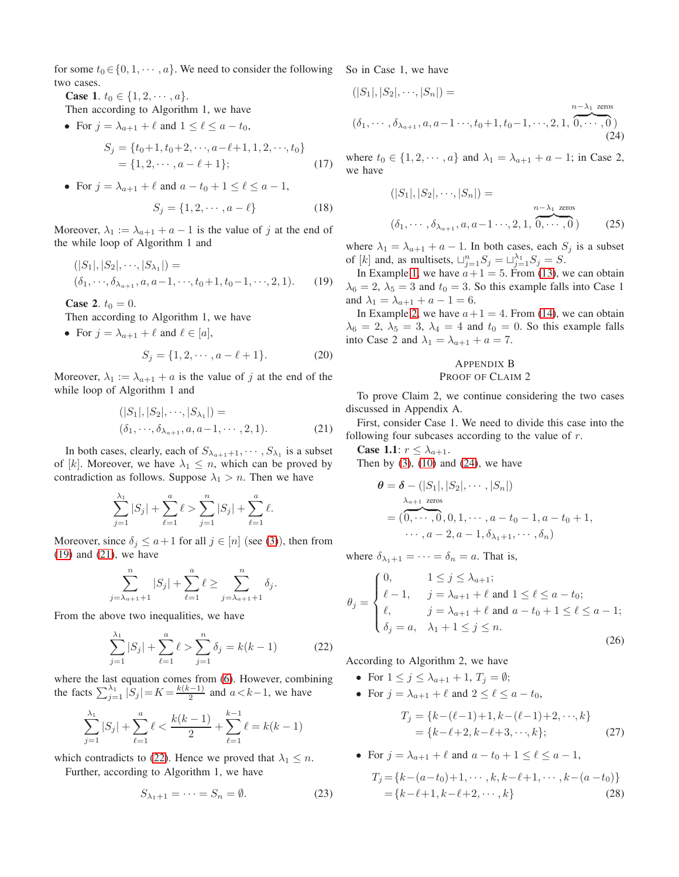for some  $t_0 \in \{0, 1, \dots, a\}$ . We need to consider the following two cases.

**Case 1.**  $t_0 \in \{1, 2, \dots, a\}.$ 

Then according to Algorithm 1, we have

• For  $j = \lambda_{a+1} + \ell$  and  $1 \leq \ell \leq a - t_0$ ,  $S_i = \{t_0+1, t_0+2, \dots, a-\ell+1, 1, 2, \dots, t_0\}$ 

$$
= \{1, 2, \cdots, a - \ell + 1\};\tag{17}
$$

• For  $j = \lambda_{a+1} + \ell$  and  $a - t_0 + 1 \leq \ell \leq a - 1$ ,  $S = {1, 0, ..., l}$  (19)

$$
S_j = \{1, 2, \cdots, a - \ell\} \tag{18}
$$

Moreover,  $\lambda_1 := \lambda_{a+1} + a - 1$  is the value of j at the end of the while loop of Algorithm 1 and

$$
(|S_1|, |S_2|, \cdots, |S_{\lambda_1}|) =
$$
  
\n
$$
(\delta_1, \cdots, \delta_{\lambda_{a+1}}, a, a-1, \cdots, t_0+1, t_0-1, \cdots, 2, 1).
$$
 (19)

**Case 2.**  $t_0 = 0$ .

Then according to Algorithm 1, we have

• For  $j = \lambda_{a+1} + \ell$  and  $\ell \in [a]$ ,

$$
S_j = \{1, 2, \cdots, a - \ell + 1\}.
$$
 (20)

Moreover,  $\lambda_1 := \lambda_{a+1} + a$  is the value of j at the end of the while loop of Algorithm 1 and

$$
(|S_1|, |S_2|, \cdots, |S_{\lambda_1}|) =
$$
  

$$
(\delta_1, \cdots, \delta_{\lambda_{a+1}}, a, a-1, \cdots, 2, 1).
$$
 (21)

In both cases, clearly, each of  $S_{\lambda_{a+1}+1}, \cdots, S_{\lambda_1}$  is a subset of [k]. Moreover, we have  $\lambda_1 \leq n$ , which can be proved by contradiction as follows. Suppose  $\lambda_1 > n$ . Then we have

$$
\sum_{j=1}^{\lambda_1} |S_j| + \sum_{\ell=1}^a \ell > \sum_{j=1}^n |S_j| + \sum_{\ell=1}^a \ell.
$$

Moreover, since  $\delta_j \leq a+1$  for all  $j \in [n]$  (see [\(3\)](#page-1-2)), then from [\(19\)](#page-5-0) and [\(21\)](#page-5-1), we have

$$
\sum_{j=\lambda_{a+1}+1}^{n} |S_j| + \sum_{\ell=1}^{a} \ell \ge \sum_{j=\lambda_{a+1}+1}^{n} \delta_j.
$$

From the above two inequalities, we have

$$
\sum_{j=1}^{\lambda_1} |S_j| + \sum_{\ell=1}^a \ell > \sum_{j=1}^n \delta_j = k(k-1)
$$
 (22)

where the last equation comes from [\(6\)](#page-1-8). However, combining the facts  $\sum_{j=1}^{\lambda_1} |\hat{S}_j| = K = \frac{k(k-1)}{2}$  $\frac{(-1)}{2}$  and  $a < k-1$ , we have

$$
\sum_{j=1}^{\lambda_1} |S_j| + \sum_{\ell=1}^a \ell < \frac{k(k-1)}{2} + \sum_{\ell=1}^{k-1} \ell = k(k-1)
$$

which contradicts to [\(22\)](#page-5-2). Hence we proved that  $\lambda_1 \leq n$ .

Further, according to Algorithm 1, we have

$$
S_{\lambda_1+1} = \dots = S_n = \emptyset. \tag{23}
$$

So in Case 1, we have

$$
(|S_1|, |S_2|, \cdots, |S_n|) =
$$
  

$$
(\delta_1, \cdots, \delta_{\lambda_{a+1}}, a, a-1 \cdots, t_0+1, t_0-1, \cdots, 2, 1, 0, \cdots, 0)
$$
  
(24)

<span id="page-5-5"></span><span id="page-5-4"></span>where  $t_0 \in \{1, 2, \dots, a\}$  and  $\lambda_1 = \lambda_{a+1} + a - 1$ ; in Case 2, we have

<span id="page-5-3"></span>
$$
(|S_1|, |S_2|, \cdots, |S_n|) =
$$
  

$$
(\delta_1, \cdots, \delta_{\lambda_{a+1}}, a, a-1 \cdots, 2, 1, 0, \cdots, 0)
$$
 (25)

where  $\lambda_1 = \lambda_{a+1} + a - 1$ . In both cases, each  $S_j$  is a subset of [k] and, as multisets,  $\sqcup_{j=1}^n S_j = \sqcup_{j=1}^{\lambda_1} S_j = S$ .

<span id="page-5-0"></span>In Example [1,](#page-3-2) we have  $a+1 = 5$ . From [\(13\)](#page-3-1), we can obtain  $\lambda_6 = 2$ ,  $\lambda_5 = 3$  and  $t_0 = 3$ . So this example falls into Case 1 and  $\lambda_1 = \lambda_{a+1} + a - 1 = 6$ .

<span id="page-5-6"></span>In Example [2,](#page-4-1) we have  $a+1 = 4$ . From [\(14\)](#page-4-2), we can obtain  $\lambda_6 = 2, \lambda_5 = 3, \lambda_4 = 4$  and  $t_0 = 0$ . So this example falls into Case 2 and  $\lambda_1 = \lambda_{a+1} + a = 7$ .

## <span id="page-5-9"></span>APPENDIX B PROOF OF CLAIM 2

To prove Claim 2, we continue considering the two cases discussed in Appendix A.

<span id="page-5-1"></span>First, consider Case 1. We need to divide this case into the following four subcases according to the value of  $r$ .

**Case 1.1:**  $r \leq \lambda_{a+1}$ . Then by  $(3)$ ,  $(10)$  and  $(24)$ , we have

$$
\theta = \delta - (|S_1|, |S_2|, \cdots, |S_n|)
$$
  
=  $(0, \cdots, 0, 0, 1, \cdots, a - t_0 - 1, a - t_0 + 1,$   
 $\cdots, a - 2, a - 1, \delta_{\lambda_1 + 1}, \cdots, \delta_n)$ 

where  $\delta_{\lambda_1+1} = \cdots = \delta_n = a$ . That is,

$$
\theta_j = \begin{cases}\n0, & 1 \le j \le \lambda_{a+1}; \\
\ell - 1, & j = \lambda_{a+1} + \ell \text{ and } 1 \le \ell \le a - t_0; \\
\ell, & j = \lambda_{a+1} + \ell \text{ and } a - t_0 + 1 \le \ell \le a - 1; \\
\delta_j = a, & \lambda_1 + 1 \le j \le n.\n\end{cases}
$$
\n(26)

<span id="page-5-2"></span>According to Algorithm 2, we have

- For  $1 \leq j \leq \lambda_{a+1} + 1$ ,  $T_j = \emptyset$ ;
- For  $j = \lambda_{a+1} + \ell$  and  $2 \leq \ell \leq a t_0$ ,

<span id="page-5-8"></span><span id="page-5-7"></span>
$$
T_j = \{k - (\ell - 1) + 1, k - (\ell - 1) + 2, \dots, k\}
$$
  
= {k - \ell + 2, k - \ell + 3, \dots, k}; (27)

• For 
$$
j = \lambda_{a+1} + \ell
$$
 and  $a - t_0 + 1 \leq \ell \leq a - 1$ ,

$$
T_j = \{k - (a - t_0) + 1, \cdots, k, k - \ell + 1, \cdots, k - (a - t_0)\}\
$$

$$
= \{k - \ell + 1, k - \ell + 2, \cdots, k\}
$$
(28)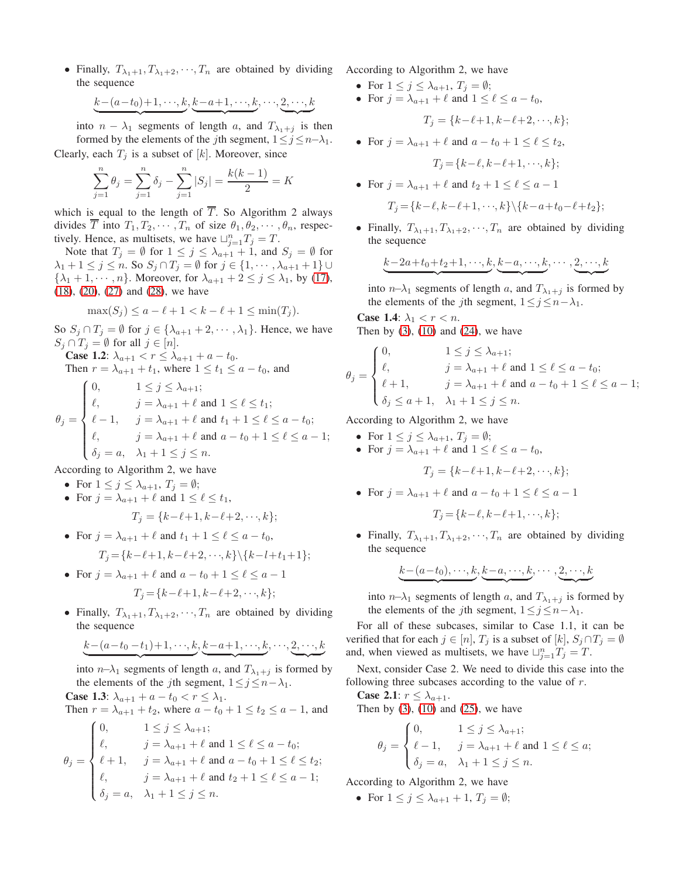• Finally,  $T_{\lambda_1+1}, T_{\lambda_1+2}, \dots, T_n$  are obtained by dividing the sequence

$$
\underbrace{k-(a-t_0)+1,\cdots,k}_{\cdot},\underbrace{k-a+1,\cdots,k}_{\cdot},\cdots,\underbrace{2,\cdots,k}_{\cdot},
$$

into  $n - \lambda_1$  segments of length a, and  $T_{\lambda_1 + j}$  is then formed by the elements of the *j*th segment,  $1 \le j \le n-\lambda_1$ . Clearly, each  $T_i$  is a subset of [k]. Moreover, since

$$
\sum_{j=1}^{n} \theta_j = \sum_{j=1}^{n} \delta_j - \sum_{j=1}^{n} |S_j| = \frac{k(k-1)}{2} = K
$$

which is equal to the length of  $\overline{T}$ . So Algorithm 2 always divides  $\overline{T}$  into  $T_1, T_2, \cdots, T_n$  of size  $\theta_1, \theta_2, \cdots, \theta_n$ , respectively. Hence, as multisets, we have  $\bigcup_{j=1}^{n} T_j = T$ .

Note that  $T_j = \emptyset$  for  $1 \le j \le \lambda_{a+1} + 1$ , and  $S_j = \emptyset$  for  $\lambda_1 + 1 \leq j \leq n$ . So  $S_j \cap T_j = \emptyset$  for  $j \in \{1, \dots, \lambda_{a+1} + 1\}$  $\{\lambda_1 + 1, \dots, n\}$ . Moreover, for  $\lambda_{a+1} + 2 \le j \le \lambda_1$ , by [\(17\)](#page-5-4), [\(18\)](#page-5-5), [\(20\)](#page-5-6), [\(27\)](#page-5-7) and [\(28\)](#page-5-8), we have

$$
\max(S_j) \le a - \ell + 1 < k - \ell + 1 \le \min(T_j).
$$

So  $S_j \cap T_j = \emptyset$  for  $j \in \{ \lambda_{a+1} + 2, \dots, \lambda_1 \}$ . Hence, we have  $S_j \cap T_j = \emptyset$  for all  $j \in [n]$ .

**Case 1.2**:  $\lambda_{a+1} < r \leq \lambda_{a+1} + a - t_0$ . Then  $r = \lambda_{a+1} + t_1$ , where  $1 \le t_1 \le a - t_0$ , and

$$
\theta_j = \begin{cases}\n0, & 1 \le j \le \lambda_{a+1}; \\
\ell, & j = \lambda_{a+1} + \ell \text{ and } 1 \le \ell \le t_1; \\
\ell - 1, & j = \lambda_{a+1} + \ell \text{ and } t_1 + 1 \le \ell \le a - t_0; \\
\ell, & j = \lambda_{a+1} + \ell \text{ and } a - t_0 + 1 \le \ell \le a - 1; \\
\delta_j = a, & \lambda_1 + 1 \le j \le n.\n\end{cases}
$$

According to Algorithm 2, we have

- For  $1 \leq j \leq \lambda_{a+1}$ ,  $T_j = \emptyset$ ;
- For  $j = \lambda_{a+1} + \ell$  and  $1 \leq \ell \leq t_1$ ,  $T_i = \{k-\ell+1, k-\ell+2, \dots, k\};$
- For  $j = \lambda_{a+1} + \ell$  and  $t_1 + 1 \leq \ell \leq a t_0$ ,  $T_i = \{k-\ell+1, k-\ell+2, \dots, k\} \setminus \{k-l+t_1+1\};$
- For  $j = \lambda_{a+1} + \ell$  and  $a t_0 + 1 \leq \ell \leq a 1$  $T_i = \{k-\ell+1, k-\ell+2, \dots, k\};$
- Finally,  $T_{\lambda_1+1}, T_{\lambda_1+2}, \dots, T_n$  are obtained by dividing the sequence

$$
\underbrace{k-(a-t_0-t_1)+1,\cdots,k}_{\cdot},\underbrace{k-a+1,\cdots,k}_{\cdot},\cdots,\underbrace{2,\cdots,k}_{\cdot},
$$

into  $n-\lambda_1$  segments of length a, and  $T_{\lambda_1+j}$  is formed by the elements of the *j*th segment,  $1 \leq j \leq n - \lambda_1$ .

**Case 1.3**:  $\lambda_{a+1} + a - t_0 < r \leq \lambda_1$ . Then  $r = \lambda_{a+1} + t_2$ , where  $a - t_0 + 1 \le t_2 \le a - 1$ , and  $\sqrt{2}$  $1 < i < \lambda$ 

$$
\theta_j = \begin{cases}\n0, & 1 \le j \le \lambda_{a+1}; \\
\ell, & j = \lambda_{a+1} + \ell \text{ and } 1 \le \ell \le a - t_0; \\
\ell + 1, & j = \lambda_{a+1} + \ell \text{ and } a - t_0 + 1 \le \ell \le t_2; \\
\ell, & j = \lambda_{a+1} + \ell \text{ and } t_2 + 1 \le \ell \le a - 1; \\
\delta_j = a, & \lambda_1 + 1 \le j \le n.\n\end{cases}
$$

According to Algorithm 2, we have

- For  $1 \leq j \leq \lambda_{a+1}$ ,  $T_j = \emptyset$ ;
- For  $j = \lambda_{a+1} + \ell$  and  $1 \leq \ell \leq a t_0$ ,

$$
T_j = \{k - \ell + 1, k - \ell + 2, \cdots, k\};
$$

• For  $j = \lambda_{a+1} + \ell$  and  $a - t_0 + 1 \leq \ell \leq t_2$ ,

$$
T_j = \{k-\ell, k-\ell+1, \cdots, k\};
$$

• For 
$$
j = \lambda_{a+1} + \ell
$$
 and  $t_2 + 1 \leq \ell \leq a - 1$   
\n $T_j = \{k - \ell, k - \ell + 1, \dots, k\} \setminus \{k - a + t_0 - \ell + t_2\};$ 

• Finally,  $T_{\lambda_1+1}, T_{\lambda_1+2}, \dots, T_n$  are obtained by dividing the sequence

$$
k-2a+t_0+t_2+1, \dots, k, k-a, \dots, k, \dots, 2, \dots, k
$$

 $\overline{\phantom{a}}$ 

 $\rightarrow$ 

into  $n-\lambda_1$  segments of length a, and  $T_{\lambda_1+j}$  is formed by the elements of the *j*th segment,  $1 \leq j \leq n - \lambda_1$ .

**Case 1.4:**  $\lambda_1 < r < n$ . Then by  $(3)$ ,  $(10)$  and  $(24)$ , we have

 $\overbrace{\hspace{2.5cm}}^{x }$ 

$$
\theta_j = \begin{cases}\n0, & 1 \le j \le \lambda_{a+1}; \\
\ell, & j = \lambda_{a+1} + \ell \text{ and } 1 \le \ell \le a - t_0; \\
\ell + 1, & j = \lambda_{a+1} + \ell \text{ and } a - t_0 + 1 \le \ell \le a - 1; \\
\delta_j \le a + 1, & \lambda_1 + 1 \le j \le n.\n\end{cases}
$$

According to Algorithm 2, we have

- For  $1 \leq j \leq \lambda_{a+1}$ ,  $T_j = \emptyset$ ;
- For  $j = \lambda_{a+1} + \ell$  and  $1 \leq \ell \leq a t_0$ ,

$$
T_j = \{k - \ell + 1, k - \ell + 2, \dots, k\};
$$

• For  $j = \lambda_{a+1} + \ell$  and  $a - t_0 + 1 \leq \ell \leq a - 1$ 

$$
T_j = \{k - \ell, k - \ell + 1, \dots, k\};
$$

• Finally,  $T_{\lambda_1+1}, T_{\lambda_1+2}, \dots, T_n$  are obtained by dividing the sequence

$$
\underbrace{k-(a-t_0),\cdots,k}_{\cdot},\underbrace{k-a,\cdots,k}_{\cdot},\cdots,\underbrace{2,\cdots,k}_{\cdot},\cdots
$$

into *n*− $\lambda_1$  segments of length *a*, and  $T_{\lambda_1+1}$  is formed by the elements of the *j*th segment,  $1 \leq j \leq n - \lambda_1$ .

For all of these subcases, similar to Case 1.1, it can be verified that for each  $j \in [n]$ ,  $T_j$  is a subset of  $[k]$ ,  $S_j \cap T_j = \emptyset$ and, when viewed as multisets, we have  $\bigcup_{j=1}^{n} T_j = T$ .

Next, consider Case 2. We need to divide this case into the following three subcases according to the value of  $r$ .

**Case 2.1**:  $r \leq \lambda_{a+1}$ .

Then by  $(3)$ ,  $(10)$  and  $(25)$ , we have

$$
\theta_j = \begin{cases} 0, & 1 \le j \le \lambda_{a+1}; \\ \ell - 1, & j = \lambda_{a+1} + \ell \text{ and } 1 \le \ell \le a; \\ \delta_j = a, & \lambda_1 + 1 \le j \le n. \end{cases}
$$

According to Algorithm 2, we have

• For  $1 \leq j \leq \lambda_{a+1} + 1$ ,  $T_j = \emptyset$ ;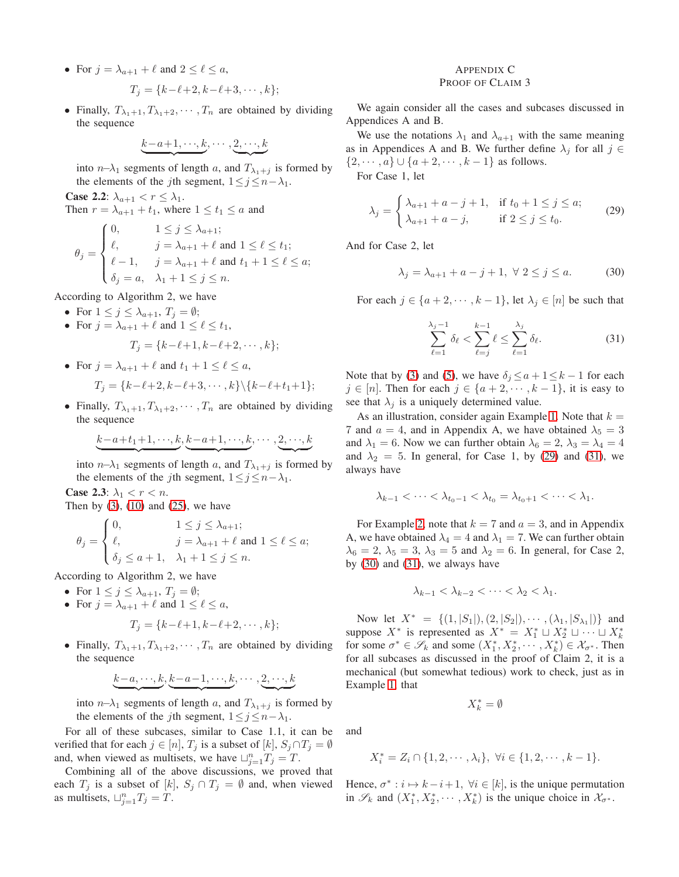- For  $j = \lambda_{a+1} + \ell$  and  $2 \leq \ell \leq a$ ,  $T_i = \{k-\ell+2, k-\ell+3, \cdots, k\};$
- Finally,  $T_{\lambda_1+1}, T_{\lambda_1+2}, \cdots, T_n$  are obtained by dividing the sequence

$$
\underbrace{k-a+1,\cdots,k}_{\smile}
$$

into  $n-\lambda_1$  segments of length a, and  $T_{\lambda_1+1}$  is formed by the elements of the *j*th segment,  $1 \le j \le n - \lambda_1$ .

**Case 2.2:**  $\lambda_{a+1} < r \leq \lambda_1$ . Then  $r = \lambda_{a+1} + t_1$ , where  $1 \le t_1 \le a$  and

$$
\theta_j = \begin{cases} 0, & 1 \leq j \leq \lambda_{a+1}; \\ \ell, & j = \lambda_{a+1} + \ell \text{ and } 1 \leq \ell \leq t_1; \\ \ell - 1, & j = \lambda_{a+1} + \ell \text{ and } t_1 + 1 \leq \ell \leq a; \\ \delta_j = a, & \lambda_1 + 1 \leq j \leq n. \end{cases}
$$

According to Algorithm 2, we have

- For  $1 \leq j \leq \lambda_{a+1}$ ,  $T_j = \emptyset$ ;
- For  $j = \lambda_{a+1} + \ell$  and  $1 \leq \ell \leq t_1$ ,

$$
T_j = \{k - \ell + 1, k - \ell + 2, \cdots, k\};
$$

• For  $j = \lambda_{a+1} + \ell$  and  $t_1 + 1 \leq \ell \leq a$ ,

$$
T_j = \{k - \ell + 2, k - \ell + 3, \cdots, k\} \setminus \{k - \ell + t_1 + 1\};
$$

• Finally,  $T_{\lambda_1+1}, T_{\lambda_1+2}, \cdots, T_n$  are obtained by dividing the sequence

$$
\underbrace{k-a+t_1+1,\cdot\cdot\cdot,k},\underbrace{k-a+1,\cdot\cdot\cdot,k},\cdot\cdot\cdot,\underbrace{2,\cdot\cdot\cdot,k}
$$

|  ${z \overline{z}}$  |  ${z \overline{z}}$  |  ${z \overline{z}}$  |  ${z \overline{z}}$  |  ${z \overline{z}}$  |  ${z \overline{z}}$  |  ${z \overline{z}}$  |  ${z \overline{z}}$  |  ${z \overline{z}}$  |  ${z \overline{z}}$  |  ${z \overline{z}}$  |  ${z \overline{z}}$  |  ${z \overline{z}}$  |  ${z \overline{z}}$  |  ${z \overline{z}}$  |  ${z \overline{z}}$  |  ${z \overline{z}}$  | into  $n-\lambda_1$  segments of length a, and  $T_{\lambda_1+j}$  is formed by the elements of the *j*th segment,  $1 \leq j \leq n - \lambda_1$ .

Case 2.3:  $\lambda_1 < r < n$ .

Then by  $(3)$ ,  $(10)$  and  $(25)$ , we have

$$
\theta_j = \begin{cases} 0, & 1 \le j \le \lambda_{a+1}; \\ \ell, & j = \lambda_{a+1} + \ell \text{ and } 1 \le \ell \le a; \\ \delta_j \le a+1, & \lambda_1 + 1 \le j \le n. \end{cases}
$$

According to Algorithm 2, we have

- For  $1 \leq j \leq \lambda_{a+1}$ ,  $T_j = \emptyset$ ;
- For  $j = \lambda_{a+1} + \ell$  and  $1 \leq \ell \leq a$ ,

$$
T_j = \{k - \ell + 1, k - \ell + 2, \cdots, k\};
$$

• Finally,  $T_{\lambda_1+1}, T_{\lambda_1+2}, \cdots, T_n$  are obtained by dividing the sequence

$$
\underbrace{k-a,\cdots,k}_{\smile \cdots,\smile \smile} ,\underbrace{k-a-1,\cdots,k}_{\smile \smile \smile \smile \smile} ,\cdots,\underbrace{2,\cdots,k}_{\smile \smile \smile \smile \smile}
$$

into  $n-\lambda_1$  segments of length a, and  $T_{\lambda_1+1}$  is formed by the elements of the *j*th segment,  $1 \leq j \leq n - \lambda_1$ .

For all of these subcases, similar to Case 1.1, it can be verified that for each  $j \in [n]$ ,  $T_j$  is a subset of  $[k]$ ,  $S_j \cap T_j = \emptyset$ and, when viewed as multisets, we have  $\bigcup_{j=1}^{n} T_j = T$ .

Combining all of the above discussions, we proved that each  $T_j$  is a subset of [k],  $S_j \cap T_j = \emptyset$  and, when viewed as multisets,  $\sqcup_{j=1}^{n} T_j = T$ .

#### <span id="page-7-0"></span>APPENDIX C PROOF OF CLAIM 3

We again consider all the cases and subcases discussed in Appendices A and B.

We use the notations  $\lambda_1$  and  $\lambda_{a+1}$  with the same meaning as in Appendices A and B. We further define  $\lambda_i$  for all  $j \in$  $\{2, \dots, a\} \cup \{a + 2, \dots, k - 1\}$  as follows.

For Case 1, let

$$
\lambda_j = \begin{cases} \lambda_{a+1} + a - j + 1, & \text{if } t_0 + 1 \le j \le a; \\ \lambda_{a+1} + a - j, & \text{if } 2 \le j \le t_0. \end{cases}
$$
 (29)

And for Case 2, let

$$
\lambda_j = \lambda_{a+1} + a - j + 1, \ \forall \ 2 \le j \le a.
$$
 (30)

For each  $j \in \{a+2, \dots, k-1\}$ , let  $\lambda_j \in [n]$  be such that

<span id="page-7-2"></span><span id="page-7-1"></span>
$$
\sum_{\ell=1}^{\lambda_j-1} \delta_\ell < \sum_{\ell=j}^{k-1} \ell \le \sum_{\ell=1}^{\lambda_j} \delta_\ell. \tag{31}
$$

Note that by [\(3\)](#page-1-2) and [\(5\)](#page-1-7), we have  $\delta_j \le a + 1 \le k - 1$  for each  $j \in [n]$ . Then for each  $j \in \{a+2, \dots, k-1\}$ , it is easy to see that  $\lambda_j$  is a uniquely determined value.

As an illustration, consider again Example [1.](#page-3-2) Note that  $k =$ 7 and  $a = 4$ , and in Appendix A, we have obtained  $\lambda_5 = 3$ and  $\lambda_1 = 6$ . Now we can further obtain  $\lambda_6 = 2$ ,  $\lambda_3 = \lambda_4 = 4$ and  $\lambda_2 = 5$ . In general, for Case 1, by [\(29\)](#page-7-0) and [\(31\)](#page-7-1), we always have

$$
\lambda_{k-1} < \cdots < \lambda_{t_0-1} < \lambda_{t_0} = \lambda_{t_0+1} < \cdots < \lambda_1.
$$

For Example [2,](#page-4-1) note that  $k = 7$  and  $a = 3$ , and in Appendix A, we have obtained  $\lambda_4 = 4$  and  $\lambda_1 = 7$ . We can further obtain  $\lambda_6 = 2, \lambda_5 = 3, \lambda_3 = 5$  and  $\lambda_2 = 6$ . In general, for Case 2, by  $(30)$  and  $(31)$ , we always have

$$
\lambda_{k-1} < \lambda_{k-2} < \cdots < \lambda_2 < \lambda_1.
$$

Now let  $X^* = \{(1, |S_1|), (2, |S_2|), \cdots, (\lambda_1, |S_{\lambda_1}|)\}\$  and suppose  $X^*$  is represented as  $X^* = X_1^* \sqcup X_2^* \sqcup \cdots \sqcup X_k^*$ for some  $\sigma^* \in \mathscr{S}_k$  and some  $(X_1^*, X_2^*, \cdots, X_k^*) \in \mathcal{X}_{\sigma^*}$ . Then for all subcases as discussed in the proof of Claim 2, it is a mechanical (but somewhat tedious) work to check, just as in Example [1,](#page-3-2) that

$$
X_k^*=\emptyset
$$

and

$$
X_i^* = Z_i \cap \{1, 2, \cdots, \lambda_i\}, \ \forall i \in \{1, 2, \cdots, k-1\}.
$$

Hence,  $\sigma^* : i \mapsto k - i + 1$ ,  $\forall i \in [k]$ , is the unique permutation in  $\mathscr{S}_k$  and  $(X_1^*, X_2^*, \cdots, X_k^*)$  is the unique choice in  $\mathcal{X}_{\sigma^*}$ .